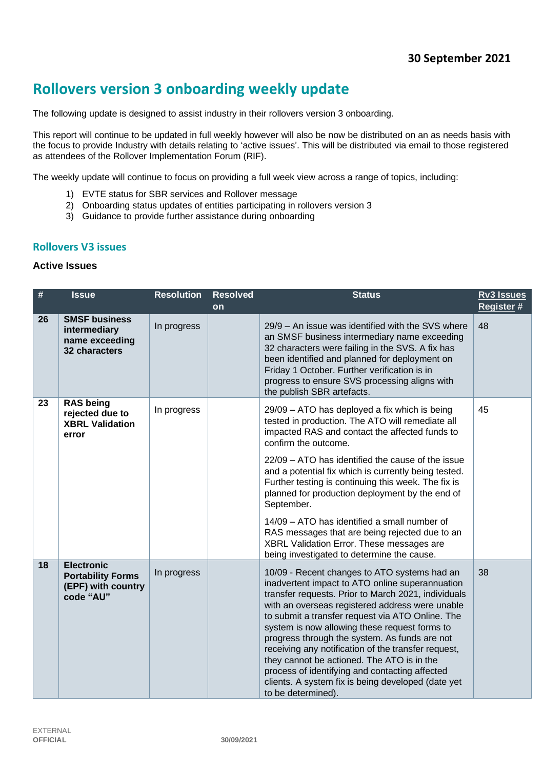# **Rollovers version 3 onboarding weekly update**

The following update is designed to assist industry in their rollovers version 3 onboarding.

This report will continue to be updated in full weekly however will also be now be distributed on an as needs basis with the focus to provide Industry with details relating to 'active issues'. This will be distributed via email to those registered as attendees of the Rollover Implementation Forum (RIF).

The weekly update will continue to focus on providing a full week view across a range of topics, including:

- 1) EVTE status for SBR services and Rollover message
- 2) Onboarding status updates of entities participating in rollovers version 3
- 3) Guidance to provide further assistance during onboarding

#### **Rollovers V3 issues**

#### **Active Issues**

| $\#$ | <b>Issue</b>                                                                     | <b>Resolution</b> | <b>Resolved</b><br>on | <b>Status</b>                                                                                                                                                                                                                                                                                                                                                                                                                                                                                                                                                                                                 | <b>Rv3 Issues</b><br><b>Register#</b> |
|------|----------------------------------------------------------------------------------|-------------------|-----------------------|---------------------------------------------------------------------------------------------------------------------------------------------------------------------------------------------------------------------------------------------------------------------------------------------------------------------------------------------------------------------------------------------------------------------------------------------------------------------------------------------------------------------------------------------------------------------------------------------------------------|---------------------------------------|
| 26   | <b>SMSF business</b><br>intermediary<br>name exceeding<br>32 characters          | In progress       |                       | 29/9 - An issue was identified with the SVS where<br>an SMSF business intermediary name exceeding<br>32 characters were failing in the SVS. A fix has<br>been identified and planned for deployment on<br>Friday 1 October. Further verification is in<br>progress to ensure SVS processing aligns with<br>the publish SBR artefacts.                                                                                                                                                                                                                                                                         | 48                                    |
| 23   | <b>RAS being</b><br>rejected due to<br><b>XBRL Validation</b><br>error           | In progress       |                       | 29/09 - ATO has deployed a fix which is being<br>tested in production. The ATO will remediate all<br>impacted RAS and contact the affected funds to<br>confirm the outcome.<br>22/09 - ATO has identified the cause of the issue<br>and a potential fix which is currently being tested.<br>Further testing is continuing this week. The fix is<br>planned for production deployment by the end of<br>September.<br>14/09 – ATO has identified a small number of<br>RAS messages that are being rejected due to an<br>XBRL Validation Error. These messages are<br>being investigated to determine the cause. | 45                                    |
| 18   | <b>Electronic</b><br><b>Portability Forms</b><br>(EPF) with country<br>code "AU" | In progress       |                       | 10/09 - Recent changes to ATO systems had an<br>inadvertent impact to ATO online superannuation<br>transfer requests. Prior to March 2021, individuals<br>with an overseas registered address were unable<br>to submit a transfer request via ATO Online. The<br>system is now allowing these request forms to<br>progress through the system. As funds are not<br>receiving any notification of the transfer request,<br>they cannot be actioned. The ATO is in the<br>process of identifying and contacting affected<br>clients. A system fix is being developed (date yet<br>to be determined).            | 38                                    |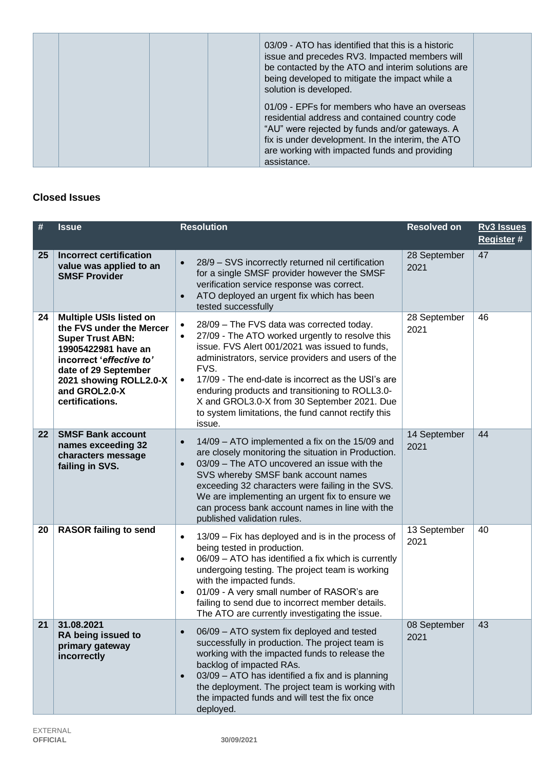| 03/09 - ATO has identified that this is a historic<br>issue and precedes RV3. Impacted members will<br>be contacted by the ATO and interim solutions are<br>being developed to mitigate the impact while a<br>solution is developed.                                   |
|------------------------------------------------------------------------------------------------------------------------------------------------------------------------------------------------------------------------------------------------------------------------|
| 01/09 - EPFs for members who have an overseas<br>residential address and contained country code<br>"AU" were rejected by funds and/or gateways. A<br>fix is under development. In the interim, the ATO<br>are working with impacted funds and providing<br>assistance. |

# **Closed Issues**

| #  | <b>Issue</b>                                                                                                                                                                                                                   | <b>Resolution</b>                                                                                                                                                                                                                                                                                                                                                                                                                                                            | <b>Resolved on</b>   | <b>Rv3 Issues</b><br>Register # |
|----|--------------------------------------------------------------------------------------------------------------------------------------------------------------------------------------------------------------------------------|------------------------------------------------------------------------------------------------------------------------------------------------------------------------------------------------------------------------------------------------------------------------------------------------------------------------------------------------------------------------------------------------------------------------------------------------------------------------------|----------------------|---------------------------------|
| 25 | <b>Incorrect certification</b><br>value was applied to an<br><b>SMSF Provider</b>                                                                                                                                              | 28/9 - SVS incorrectly returned nil certification<br>$\bullet$<br>for a single SMSF provider however the SMSF<br>verification service response was correct.<br>ATO deployed an urgent fix which has been<br>$\bullet$<br>tested successfully                                                                                                                                                                                                                                 | 28 September<br>2021 | 47                              |
| 24 | <b>Multiple USIs listed on</b><br>the FVS under the Mercer<br><b>Super Trust ABN:</b><br>19905422981 have an<br>incorrect 'effective to'<br>date of 29 September<br>2021 showing ROLL2.0-X<br>and GROL2.0-X<br>certifications. | 28/09 - The FVS data was corrected today.<br>$\bullet$<br>27/09 - The ATO worked urgently to resolve this<br>$\bullet$<br>issue. FVS Alert 001/2021 was issued to funds,<br>administrators, service providers and users of the<br>FVS.<br>17/09 - The end-date is incorrect as the USI's are<br>$\bullet$<br>enduring products and transitioning to ROLL3.0-<br>X and GROL3.0-X from 30 September 2021. Due<br>to system limitations, the fund cannot rectify this<br>issue. | 28 September<br>2021 | 46                              |
| 22 | <b>SMSF Bank account</b><br>names exceeding 32<br>characters message<br>failing in SVS.                                                                                                                                        | 14/09 - ATO implemented a fix on the 15/09 and<br>$\bullet$<br>are closely monitoring the situation in Production.<br>03/09 - The ATO uncovered an issue with the<br>$\bullet$<br>SVS whereby SMSF bank account names<br>exceeding 32 characters were failing in the SVS.<br>We are implementing an urgent fix to ensure we<br>can process bank account names in line with the<br>published validation rules.                                                                | 14 September<br>2021 | 44                              |
| 20 | <b>RASOR failing to send</b>                                                                                                                                                                                                   | 13/09 - Fix has deployed and is in the process of<br>$\bullet$<br>being tested in production.<br>06/09 - ATO has identified a fix which is currently<br>$\bullet$<br>undergoing testing. The project team is working<br>with the impacted funds.<br>01/09 - A very small number of RASOR's are<br>$\bullet$<br>failing to send due to incorrect member details.<br>The ATO are currently investigating the issue.                                                            | 13 September<br>2021 | 40                              |
| 21 | 31.08.2021<br>RA being issued to<br>primary gateway<br>incorrectly                                                                                                                                                             | 06/09 - ATO system fix deployed and tested<br>successfully in production. The project team is<br>working with the impacted funds to release the<br>backlog of impacted RAs.<br>03/09 - ATO has identified a fix and is planning<br>$\bullet$<br>the deployment. The project team is working with<br>the impacted funds and will test the fix once<br>deployed.                                                                                                               | 08 September<br>2021 | 43                              |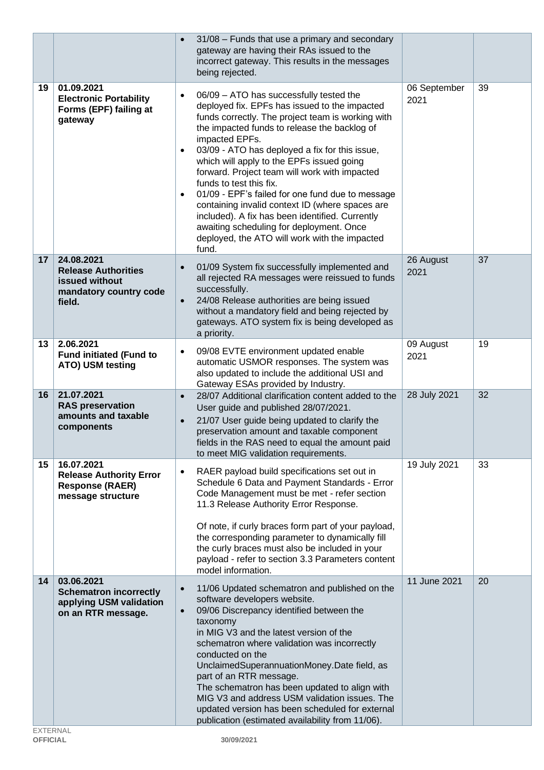|    |                                                                                                | 31/08 - Funds that use a primary and secondary<br>gateway are having their RAs issued to the<br>incorrect gateway. This results in the messages<br>being rejected.                                                                                                                                                                                                                                                                                                                                                                                                                                                                                                                                |                      |    |
|----|------------------------------------------------------------------------------------------------|---------------------------------------------------------------------------------------------------------------------------------------------------------------------------------------------------------------------------------------------------------------------------------------------------------------------------------------------------------------------------------------------------------------------------------------------------------------------------------------------------------------------------------------------------------------------------------------------------------------------------------------------------------------------------------------------------|----------------------|----|
| 19 | 01.09.2021<br><b>Electronic Portability</b><br>Forms (EPF) failing at<br>gateway               | 06/09 - ATO has successfully tested the<br>$\bullet$<br>deployed fix. EPFs has issued to the impacted<br>funds correctly. The project team is working with<br>the impacted funds to release the backlog of<br>impacted EPFs.<br>03/09 - ATO has deployed a fix for this issue,<br>$\bullet$<br>which will apply to the EPFs issued going<br>forward. Project team will work with impacted<br>funds to test this fix.<br>01/09 - EPF's failed for one fund due to message<br>$\bullet$<br>containing invalid context ID (where spaces are<br>included). A fix has been identified. Currently<br>awaiting scheduling for deployment. Once<br>deployed, the ATO will work with the impacted<br>fund. | 06 September<br>2021 | 39 |
| 17 | 24.08.2021<br><b>Release Authorities</b><br>issued without<br>mandatory country code<br>field. | 01/09 System fix successfully implemented and<br>$\bullet$<br>all rejected RA messages were reissued to funds<br>successfully.<br>24/08 Release authorities are being issued<br>$\bullet$<br>without a mandatory field and being rejected by<br>gateways. ATO system fix is being developed as<br>a priority.                                                                                                                                                                                                                                                                                                                                                                                     | 26 August<br>2021    | 37 |
| 13 | 2.06.2021<br><b>Fund initiated (Fund to</b><br>ATO) USM testing                                | 09/08 EVTE environment updated enable<br>$\bullet$<br>automatic USMOR responses. The system was<br>also updated to include the additional USI and<br>Gateway ESAs provided by Industry.                                                                                                                                                                                                                                                                                                                                                                                                                                                                                                           | 09 August<br>2021    | 19 |
| 16 | 21.07.2021<br><b>RAS</b> preservation<br>amounts and taxable<br>components                     | 28/07 Additional clarification content added to the<br>$\bullet$<br>User guide and published 28/07/2021.<br>21/07 User guide being updated to clarify the<br>$\bullet$<br>preservation amount and taxable component<br>fields in the RAS need to equal the amount paid<br>to meet MIG validation requirements.                                                                                                                                                                                                                                                                                                                                                                                    | 28 July 2021         | 32 |
| 15 | 16.07.2021<br><b>Release Authority Error</b><br><b>Response (RAER)</b><br>message structure    | RAER payload build specifications set out in<br>$\bullet$<br>Schedule 6 Data and Payment Standards - Error<br>Code Management must be met - refer section<br>11.3 Release Authority Error Response.<br>Of note, if curly braces form part of your payload,<br>the corresponding parameter to dynamically fill<br>the curly braces must also be included in your<br>payload - refer to section 3.3 Parameters content<br>model information.                                                                                                                                                                                                                                                        | 19 July 2021         | 33 |
| 14 | 03.06.2021<br><b>Schematron incorrectly</b><br>applying USM validation<br>on an RTR message.   | 11/06 Updated schematron and published on the<br>$\bullet$<br>software developers website.<br>09/06 Discrepancy identified between the<br>$\bullet$<br>taxonomy<br>in MIG V3 and the latest version of the<br>schematron where validation was incorrectly<br>conducted on the<br>UnclaimedSuperannuationMoney.Date field, as<br>part of an RTR message.<br>The schematron has been updated to align with<br>MIG V3 and address USM validation issues. The<br>updated version has been scheduled for external<br>publication (estimated availability from 11/06).                                                                                                                                  | 11 June 2021         | 20 |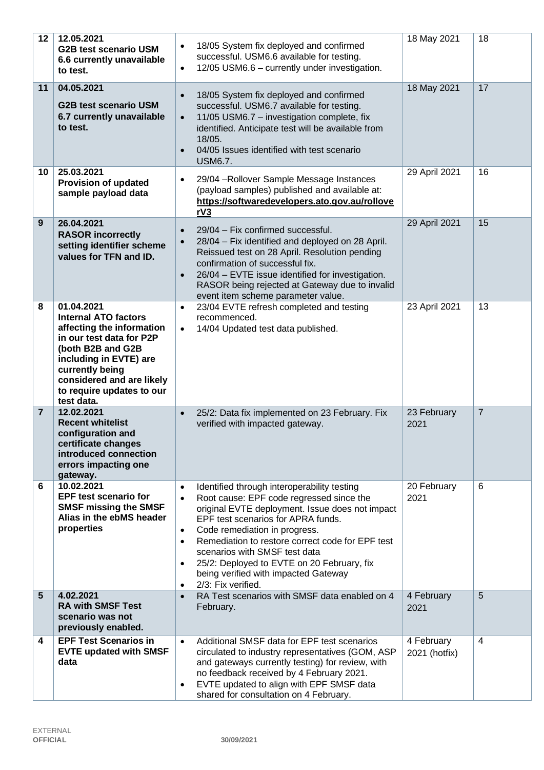| 12             | 12.05.2021<br><b>G2B test scenario USM</b><br>6.6 currently unavailable<br>to test.                                                                                                                                                          | 18/05 System fix deployed and confirmed<br>$\bullet$<br>successful. USM6.6 available for testing.<br>12/05 USM6.6 - currently under investigation.<br>$\bullet$                                                                                                                                                                                                                                                                                                                                  | 18 May 2021                 | 18             |
|----------------|----------------------------------------------------------------------------------------------------------------------------------------------------------------------------------------------------------------------------------------------|--------------------------------------------------------------------------------------------------------------------------------------------------------------------------------------------------------------------------------------------------------------------------------------------------------------------------------------------------------------------------------------------------------------------------------------------------------------------------------------------------|-----------------------------|----------------|
| 11             | 04.05.2021<br><b>G2B test scenario USM</b><br>6.7 currently unavailable<br>to test.                                                                                                                                                          | 18/05 System fix deployed and confirmed<br>$\bullet$<br>successful. USM6.7 available for testing.<br>11/05 USM6.7 - investigation complete, fix<br>$\bullet$<br>identified. Anticipate test will be available from<br>18/05.<br>04/05 Issues identified with test scenario<br>$\bullet$<br><b>USM6.7.</b>                                                                                                                                                                                        | 18 May 2021                 | 17             |
| 10             | 25.03.2021<br><b>Provision of updated</b><br>sample payload data                                                                                                                                                                             | 29/04 - Rollover Sample Message Instances<br>$\bullet$<br>(payload samples) published and available at:<br>https://softwaredevelopers.ato.gov.au/rollove<br>rV3                                                                                                                                                                                                                                                                                                                                  | 29 April 2021               | 16             |
| 9              | 26.04.2021<br><b>RASOR incorrectly</b><br>setting identifier scheme<br>values for TFN and ID.                                                                                                                                                | 29/04 - Fix confirmed successful.<br>$\bullet$<br>28/04 - Fix identified and deployed on 28 April.<br>$\bullet$<br>Reissued test on 28 April. Resolution pending<br>confirmation of successful fix.<br>26/04 - EVTE issue identified for investigation.<br>$\bullet$<br>RASOR being rejected at Gateway due to invalid<br>event item scheme parameter value.                                                                                                                                     | 29 April 2021               | 15             |
| 8              | 01.04.2021<br><b>Internal ATO factors</b><br>affecting the information<br>in our test data for P2P<br>(both B2B and G2B<br>including in EVTE) are<br>currently being<br>considered and are likely<br>to require updates to our<br>test data. | 23/04 EVTE refresh completed and testing<br>$\bullet$<br>recommenced.<br>14/04 Updated test data published.<br>$\bullet$                                                                                                                                                                                                                                                                                                                                                                         | 23 April 2021               | 13             |
| $\overline{7}$ | 12.02.2021<br><b>Recent whitelist</b><br>configuration and<br>certificate changes<br>introduced connection<br>errors impacting one<br>gateway.                                                                                               | 25/2: Data fix implemented on 23 February. Fix<br>$\bullet$<br>verified with impacted gateway.                                                                                                                                                                                                                                                                                                                                                                                                   | 23 February<br>2021         | $\overline{7}$ |
| 6              | 10.02.2021<br><b>EPF test scenario for</b><br><b>SMSF missing the SMSF</b><br>Alias in the ebMS header<br>properties                                                                                                                         | Identified through interoperability testing<br>$\bullet$<br>Root cause: EPF code regressed since the<br>$\bullet$<br>original EVTE deployment. Issue does not impact<br>EPF test scenarios for APRA funds.<br>Code remediation in progress.<br>$\bullet$<br>Remediation to restore correct code for EPF test<br>$\bullet$<br>scenarios with SMSF test data<br>25/2: Deployed to EVTE on 20 February, fix<br>$\bullet$<br>being verified with impacted Gateway<br>2/3: Fix verified.<br>$\bullet$ | 20 February<br>2021         | 6              |
| $5\phantom{.}$ | 4.02.2021<br><b>RA with SMSF Test</b><br>scenario was not<br>previously enabled.                                                                                                                                                             | RA Test scenarios with SMSF data enabled on 4<br>$\bullet$<br>February.                                                                                                                                                                                                                                                                                                                                                                                                                          | 4 February<br>2021          | 5              |
| 4              | <b>EPF Test Scenarios in</b><br><b>EVTE updated with SMSF</b><br>data                                                                                                                                                                        | Additional SMSF data for EPF test scenarios<br>$\bullet$<br>circulated to industry representatives (GOM, ASP<br>and gateways currently testing) for review, with<br>no feedback received by 4 February 2021.<br>EVTE updated to align with EPF SMSF data<br>$\bullet$<br>shared for consultation on 4 February.                                                                                                                                                                                  | 4 February<br>2021 (hotfix) | 4              |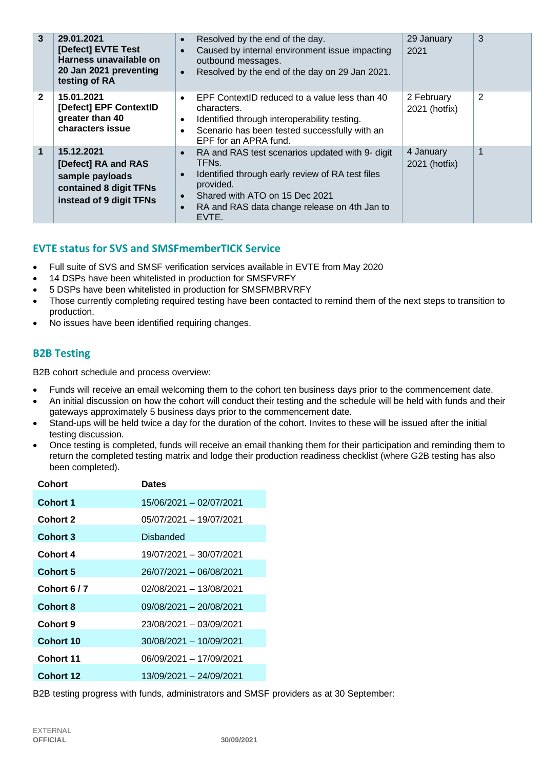| $\mathbf{3}$ | 29.01.2021<br>[Defect] EVTE Test<br>Harness unavailable on<br>20 Jan 2021 preventing<br>testing of RA     | Resolved by the end of the day.<br>$\bullet$<br>Caused by internal environment issue impacting<br>$\bullet$<br>outbound messages.<br>Resolved by the end of the day on 29 Jan 2021.<br>$\bullet$                                                                                      | 29 January<br>2021          | 3 |
|--------------|-----------------------------------------------------------------------------------------------------------|---------------------------------------------------------------------------------------------------------------------------------------------------------------------------------------------------------------------------------------------------------------------------------------|-----------------------------|---|
| $\mathbf{2}$ | 15.01.2021<br>[Defect] EPF ContextID<br>greater than 40<br>characters issue                               | EPF ContextID reduced to a value less than 40<br>$\bullet$<br>characters.<br>Identified through interoperability testing.<br>$\bullet$<br>Scenario has been tested successfully with an<br>$\bullet$<br>EPF for an APRA fund.                                                         | 2 February<br>2021 (hotfix) | 2 |
| 1            | 15.12.2021<br>[Defect] RA and RAS<br>sample payloads<br>contained 8 digit TFNs<br>instead of 9 digit TFNs | RA and RAS test scenarios updated with 9- digit<br>$\bullet$<br>TFN <sub>s</sub> .<br>Identified through early review of RA test files<br>$\bullet$<br>provided.<br>Shared with ATO on 15 Dec 2021<br>$\bullet$<br>RA and RAS data change release on 4th Jan to<br>$\bullet$<br>EVTE. | 4 January<br>2021 (hotfix)  |   |

# **EVTE status for SVS and SMSFmemberTICK Service**

- Full suite of SVS and SMSF verification services available in EVTE from May 2020
- 14 DSPs have been whitelisted in production for SMSFVRFY
- 5 DSPs have been whitelisted in production for SMSFMBRVRFY
- Those currently completing required testing have been contacted to remind them of the next steps to transition to production.
- No issues have been identified requiring changes.

## **B2B Testing**

B2B cohort schedule and process overview:

- Funds will receive an email welcoming them to the cohort ten business days prior to the commencement date.
- An initial discussion on how the cohort will conduct their testing and the schedule will be held with funds and their gateways approximately 5 business days prior to the commencement date.
- Stand-ups will be held twice a day for the duration of the cohort. Invites to these will be issued after the initial testing discussion.
- Once testing is completed, funds will receive an email thanking them for their participation and reminding them to return the completed testing matrix and lodge their production readiness checklist (where G2B testing has also been completed).

| Cohort           | <b>Dates</b>            |
|------------------|-------------------------|
| <b>Cohort 1</b>  | 15/06/2021 - 02/07/2021 |
| <b>Cohort 2</b>  | 05/07/2021 - 19/07/2021 |
| Cohort 3         | Disbanded               |
| Cohort 4         | 19/07/2021 - 30/07/2021 |
| <b>Cohort 5</b>  | 26/07/2021 - 06/08/2021 |
| Cohort 6/7       | 02/08/2021 - 13/08/2021 |
| <b>Cohort 8</b>  | 09/08/2021 - 20/08/2021 |
| Cohort 9         | 23/08/2021 - 03/09/2021 |
| Cohort 10        | 30/08/2021 - 10/09/2021 |
| Cohort 11        | 06/09/2021 - 17/09/2021 |
| <b>Cohort 12</b> | 13/09/2021 - 24/09/2021 |

B2B testing progress with funds, administrators and SMSF providers as at 30 September: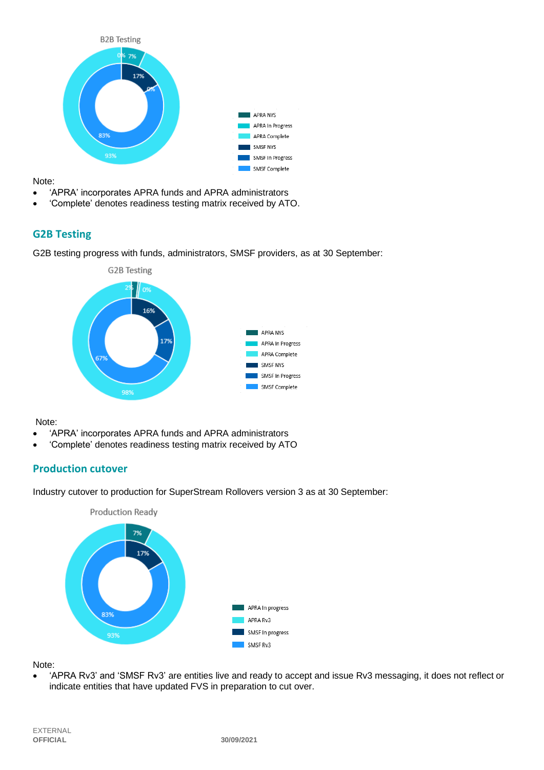

Note:

- 'APRA' incorporates APRA funds and APRA administrators
- 'Complete' denotes readiness testing matrix received by ATO.

# **G2B Testing**

G2B testing progress with funds, administrators, SMSF providers, as at 30 September:



Note:

- 'APRA' incorporates APRA funds and APRA administrators
- 'Complete' denotes readiness testing matrix received by ATO

## **Production cutover**

Industry cutover to production for SuperStream Rollovers version 3 as at 30 September:



Note:

• 'APRA Rv3' and 'SMSF Rv3' are entities live and ready to accept and issue Rv3 messaging, it does not reflect or indicate entities that have updated FVS in preparation to cut over.